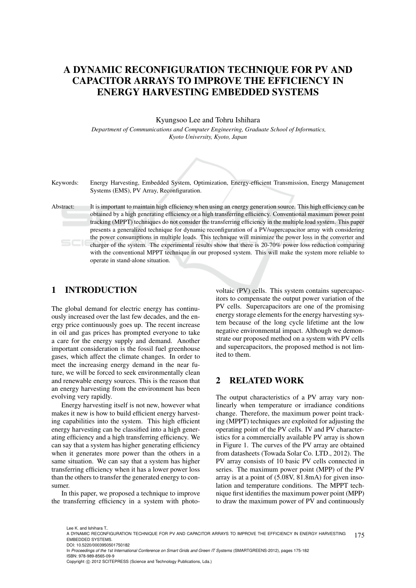# A DYNAMIC RECONFIGURATION TECHNIQUE FOR PV AND CAPACITOR ARRAYS TO IMPROVE THE EFFICIENCY IN ENERGY HARVESTING EMBEDDED SYSTEMS

#### Kyungsoo Lee and Tohru Ishihara

*Department of Communications and Computer Engineering, Graduate School of Informatics, Kyoto University, Kyoto, Japan*



Keywords: Energy Harvesting, Embedded System, Optimization, Energy-efficient Transmission, Energy Management Systems (EMS), PV Array, Reconfiguration.

Abstract: It is important to maintain high efficiency when using an energy generation source. This high efficiency can be obtained by a high generating efficiency or a high transferring efficiency. Conventional maximum power point tracking (MPPT) techniques do not consider the transferring efficiency in the multiple load system. This paper presents a generalized technique for dynamic reconfiguration of a PV/supercapacitor array with considering the power consumptions in multiple loads. This technique will minimize the power loss in the converter and charger of the system. The experimental results show that there is 20-70% power loss reduction comparing with the conventional MPPT technique in our proposed system. This will make the system more reliable to operate in stand-alone situation.

# 1 INTRODUCTION

The global demand for electric energy has continuously increased over the last few decades, and the energy price continuously goes up. The recent increase in oil and gas prices has prompted everyone to take a care for the energy supply and demand. Another important consideration is the fossil fuel greenhouse gases, which affect the climate changes. In order to meet the increasing energy demand in the near future, we will be forced to seek environmentally clean and renewable energy sources. This is the reason that an energy harvesting from the environment has been evolving very rapidly.

Energy harvesting itself is not new, however what makes it new is how to build efficient energy harvesting capabilities into the system. This high efficient energy harvesting can be classified into a high generating efficiency and a high transferring efficiency. We can say that a system has higher generating efficiency when it generates more power than the others in a same situation. We can say that a system has higher transferring efficiency when it has a lower power loss than the others to transfer the generated energy to consumer.

In this paper, we proposed a technique to improve the transferring efficiency in a system with photo-

voltaic (PV) cells. This system contains supercapacitors to compensate the output power variation of the PV cells. Supercapacitors are one of the promising energy storage elements for the energy harvesting system because of the long cycle lifetime ant the low negative environmental impact. Although we demonstrate our proposed method on a system with PV cells and supercapacitors, the proposed method is not limited to them.

# 2 RELATED WORK

The output characteristics of a PV array vary nonlinearly when temperature or irradiance conditions change. Therefore, the maximum power point tracking (MPPT) techniques are exploited for adjusting the operating point of the PV cells. IV and PV characteristics for a commercially available PV array is shown in Figure 1. The curves of the PV array are obtained from datasheets (Towada Solar Co. LTD., 2012). The PV array consists of 10 basic PV cells connected in series. The maximum power point (MPP) of the PV array is at a point of (5.08V, 81.8mA) for given insolation and temperature conditions. The MPPT technique first identifies the maximum power point (MPP) to draw the maximum power of PV and continuously

In *Proceedings of the 1st International Conference on Smart Grids and Green IT Systems* (SMARTGREENS-2012), pages 175-182 ISBN: 978-989-8565-09-9

Lee K. and Ishihara T..

<sup>175</sup> A DYNAMIC RECONFIGURATION TECHNIQUE FOR PV AND CAPACITOR ARRAYS TO IMPROVE THE EFFICIENCY IN ENERGY HARVESTING EMBEDDED SYSTEMS. DOI: 10.5220/0003950501750182

Copyright © 2012 SCITEPRESS (Science and Technology Publications, Lda.)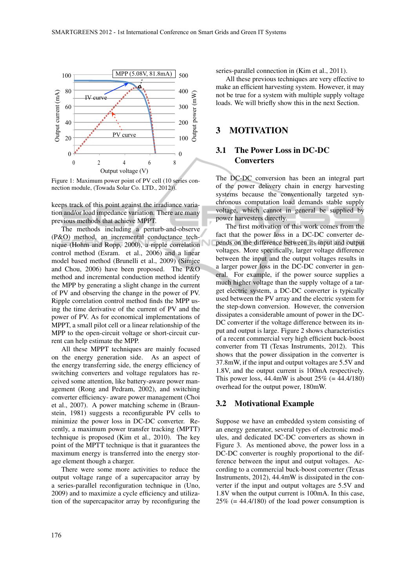

Figure 1: Maximum power point of PV cell (10 series connection module, (Towada Solar Co. LTD., 2012)).

keeps track of this point against the irradiance variation and/or load impedance variation. There are many previous methods that achieve MPPT.

The methods including a perturb-and-observe (P&O) method, an incremental conductance technique (Hohm and Ropp, 2000), a ripple correlation control method (Esram. et al., 2006) and a linear model based method (Brunelli et al., 2009) (Simjee and Chou, 2006) have been proposed. The P&O method and incremental conduction method identify the MPP by generating a slight change in the current of PV and observing the change in the power of PV. Ripple correlation control method finds the MPP using the time derivative of the current of PV and the power of PV. As for economical implementations of MPPT, a small pilot cell or a linear relationship of the MPP to the open-circuit voltage or short-circuit current can help estimate the MPP.

All these MPPT techniques are mainly focused on the energy generation side. As an aspect of the energy transferring side, the energy efficiency of switching converters and voltage regulators has received some attention, like battery-aware power management (Rong and Pedram, 2002), and switching converter efficiency- aware power management (Choi et al., 2007). A power matching scheme in (Braunstein, 1981) suggests a reconfigurable PV cells to minimize the power loss in DC-DC converter. Recently, a maximum power transfer tracking (MPTT) technique is proposed (Kim et al., 2010). The key point of the MPTT technique is that it guarantees the maximum energy is transferred into the energy storage element though a charger.

There were some more activities to reduce the output voltage range of a supercapacitor array by a series-parallel reconfiguration technique in (Uno, 2009) and to maximize a cycle efficiency and utilization of the supercapacitor array by reconfiguring the series-parallel connection in (Kim et al., 2011).

All these previous techniques are very effective to make an efficient harvesting system. However, it may not be true for a system with multiple supply voltage loads. We will briefly show this in the next Section.

### 3 MOTIVATION

# 3.1 The Power Loss in DC-DC **Converters**

The DC-DC conversion has been an integral part of the power delivery chain in energy harvesting systems because the conventionally targeted synchronous computation load demands stable supply voltage, which cannot in general be supplied by power harvesters directly.

The first motivation of this work comes from the fact that the power loss in a DC-DC converter depends on the difference between its input and output voltages. More specifically, larger voltage difference between the input and the output voltages results in a larger power loss in the DC-DC converter in general. For example, if the power source supplies a much higher voltage than the supply voltage of a target electric system, a DC-DC converter is typically used between the PV array and the electric system for the step-down conversion. However, the conversion dissipates a considerable amount of power in the DC-DC converter if the voltage difference between its input and output is large. Figure 2 shows characteristics of a recent commercial very high efficient buck-boost converter from TI (Texas Instruments, 2012). This shows that the power dissipation in the converter is 37.8mW, if the input and output voltages are 5.5V and 1.8V, and the output current is 100mA respectively. This power loss,  $44.4mW$  is about  $25\%$  (=  $44.4/180$ ) overhead for the output power, 180mW.

### 3.2 Motivational Example

Suppose we have an embedded system consisting of an energy generator, several types of electronic modules, and dedicated DC-DC converters as shown in Figure 3. As mentioned above, the power loss in a DC-DC converter is roughly proportional to the difference between the input and output voltages. According to a commercial buck-boost converter (Texas Instruments, 2012), 44.4mW is dissipated in the converter if the input and output voltages are 5.5V and 1.8V when the output current is 100mA. In this case,  $25\%$  (= 44.4/180) of the load power consumption is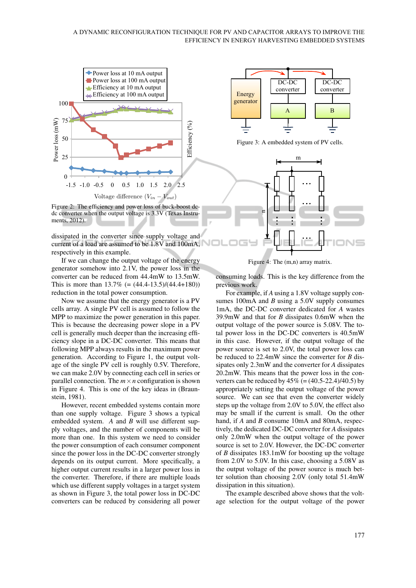#### A DYNAMIC RECONFIGURATION TECHNIQUE FOR PV AND CAPACITOR ARRAYS TO IMPROVE THE EFFICIENCY IN ENERGY HARVESTING EMBEDDED SYSTEMS



Figure 2: The efficiency and power loss of buck-boost dcdc converter when the output voltage is 3.3V (Texas Instruments, 2012).

dissipated in the converter since supply voltage and current of a load are assumed to be 1.8V and 100mA, respectively in this example.

If we can change the output voltage of the energy generator somehow into 2.1V, the power loss in the converter can be reduced from 44.4mW to 13.5mW. This is more than  $13.7\%$  (=  $(44.4-13.5)/(44.4+180)$ ) reduction in the total power consumption.

Now we assume that the energy generator is a PV cells array. A single PV cell is assumed to follow the MPP to maximize the power generation in this paper. This is because the decreasing power slope in a PV cell is generally much deeper than the increasing efficiency slope in a DC-DC converter. This means that following MPP always results in the maximum power generation. According to Figure 1, the output voltage of the single PV cell is roughly 0.5V. Therefore, we can make 2.0V by connecting each cell in series or parallel connection. The  $m \times n$  configuration is shown in Figure 4. This is one of the key ideas in (Braunstein, 1981).

However, recent embedded systems contain more than one supply voltage. Figure 3 shows a typical embedded system. *A* and *B* will use different supply voltages, and the number of components will be more than one. In this system we need to consider the power consumption of each consumer component since the power loss in the DC-DC converter strongly depends on its output current. More specifically, a higher output current results in a larger power loss in the converter. Therefore, if there are multiple loads which use different supply voltages in a target system as shown in Figure 3, the total power loss in DC-DC converters can be reduced by considering all power



Figure 3: A embedded system of PV cells.



Figure 4: The (m,n) array matrix.

consuming loads. This is the key difference from the previous work.

For example, if *A* using a 1.8V voltage supply consumes 100mA and *B* using a 5.0V supply consumes 1mA, the DC-DC converter dedicated for *A* wastes 39.9mW and that for *B* dissipates 0.6mW when the output voltage of the power source is 5.08V. The total power loss in the DC-DC converters is 40.5mW in this case. However, if the output voltage of the power source is set to 2.0V, the total power loss can be reduced to 22.4mW since the converter for *B* dissipates only 2.3mW and the converter for *A* dissipates 20.2mW. This means that the power loss in the converters can be reduced by  $45\%$  (= (40.5-22.4)/40.5) by appropriately setting the output voltage of the power source. We can see that even the converter widely steps up the voltage from 2.0V to 5.0V, the effect also may be small if the current is small. On the other hand, if *A* and *B* consume 10mA and 80mA, respectively, the dedicated DC-DC converter for *A* dissipates only 2.0mW when the output voltage of the power source is set to 2.0V. However, the DC-DC converter of *B* dissipates 183.1mW for boosting up the voltage from 2.0V to 5.0V. In this case, choosing a 5.08V as the output voltage of the power source is much better solution than choosing 2.0V (only total 51.4mW dissipation in this situation).

The example described above shows that the voltage selection for the output voltage of the power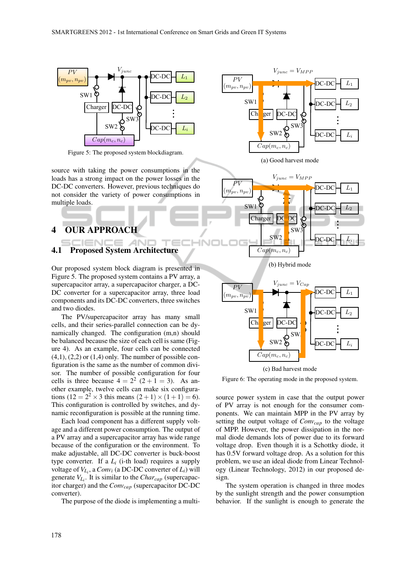

Figure 5: The proposed system blockdiagram.

source with taking the power consumptions in the loads has a strong impact on the power losses in the DC-DC converters. However, previous techniques do not consider the variety of power consumptions in multiple loads.

# 4 OUR APPROACH

# 4.1 Proposed System Architecture

Our proposed system block diagram is presented in Figure 5. The proposed system contains a PV array, a supercapacitor array, a supercapacitor charger, a DC-DC converter for a supercapacitor array, three load components and its DC-DC converters, three switches and two diodes.

-4N

The PV/supercapacitor array has many small cells, and their series-parallel connection can be dynamically changed. The configuration (m,n) should be balanced because the size of each cell is same (Figure 4). As an example, four cells can be connected  $(4,1)$ ,  $(2,2)$  or  $(1,4)$  only. The number of possible configuration is the same as the number of common divisor. The number of possible configuration for four cells is three because  $4 = 2^2 (2 + 1 = 3)$ . As another example, twelve cells can make six configurations  $(12 = 2^2 \times 3$  this means  $(2+1) \times (1+1) = 6$ . This configuration is controlled by switches, and dynamic reconfiguration is possible at the running time.

Each load component has a different supply voltage and a different power consumption. The output of a PV array and a supercapacitor array has wide range because of the configuration or the environment. To make adjustable, all DC-DC converter is buck-boost type converter. If a  $L_i$  (i-th load) requires a supply voltage of  $V_{L_i}$ , a  $Conv_i$  (a DC-DC converter of  $L_i$ ) will generate *VL<sup>i</sup>* . It is similar to the *Charcap* (supercapacitor charger) and the *Convcap* (supercapacitor DC-DC converter).

The purpose of the diode is implementing a multi-





 $Cap(m_c, n_c)$ 



(c) Bad harvest mode

Figure 6: The operating mode in the proposed system.

source power system in case that the output power of PV array is not enough for the consumer components. We can maintain MPP in the PV array by setting the output voltage of *Convcap* to the voltage of MPP. However, the power dissipation in the normal diode demands lots of power due to its forward voltage drop. Even though it is a Schottky diode, it has 0.5V forward voltage drop. As a solution for this problem, we use an ideal diode from Linear Technology (Linear Technology, 2012) in our proposed design.

The system operation is changed in three modes by the sunlight strength and the power consumption behavior. If the sunlight is enough to generate the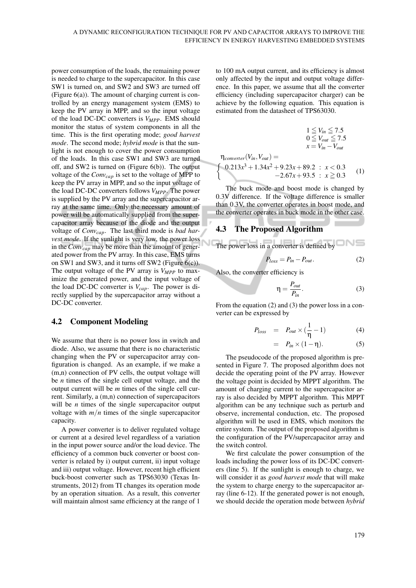power consumption of the loads, the remaining power is needed to charge to the supercapacitor. In this case SW1 is turned on, and SW2 and SW3 are turned off (Figure 6(a)). The amount of charging current is controlled by an energy management system (EMS) to keep the PV array in MPP, and so the input voltage of the load DC-DC converters is *VMPP*. EMS should monitor the status of system components in all the time. This is the first operating mode; *good harvest mode*. The second mode; *hybrid mode* is that the sunlight is not enough to cover the power consumption of the loads. In this case SW1 and SW3 are turned off, and SW2 is turned on (Figure 6(b)). The output voltage of the *Convcap* is set to the voltage of MPP to keep the PV array in MPP, and so the input voltage of the load DC-DC converters follows *VMPP*. The power is supplied by the PV array and the supercapacitor array at the same time. Only the necessary amount of power will be automatically supplied from the supercapacitor array because of the diode and the output voltage of *Convcap*. The last third mode is *bad harvest mode*. If the sunlight is very low, the power loss in the*Convcap* may be more than the amount of generated power from the PV array. In this case, EMS turns on SW1 and SW3, and it turns off SW2 (Figure 6(c)). The output voltage of the PV array is *VMPP* to maximize the generated power, and the input voltage of the load DC-DC converter is *Vcap*. The power is directly supplied by the supercapacitor array without a DC-DC converter.

### 4.2 Component Modeling

We assume that there is no power loss in switch and diode. Also, we assume that there is no characteristic changing when the PV or supercapacitor array configuration is changed. As an example, if we make a (m,n) connection of PV cells, the output voltage will be *n* times of the single cell output voltage, and the output current will be *m* times of the single cell current. Similarly, a (m,n) connection of supercapacitors will be *n* times of the single supercapacitor output voltage with  $m/n$  times of the single supercapacitor capacity.

A power converter is to deliver regulated voltage or current at a desired level regardless of a variation in the input power source and/or the load device. The efficiency of a common buck converter or boost converter is related by i) output current, ii) input voltage and iii) output voltage. However, recent high efficient buck-boost converter such as TPS63030 (Texas Instruments, 2012) from TI changes its operation mode by an operation situation. As a result, this converter will maintain almost same efficiency at the range of 1

to 100 mA output current, and its efficiency is almost only affected by the input and output voltage difference. In this paper, we assume that all the converter efficiency (including supercapacitor charger) can be achieve by the following equation. This equation is estimated from the datasheet of TPS63030.

$$
1 \le V_{in} \le 7.5
$$
  
\n
$$
0 \le V_{out} \le 7.5
$$
  
\n
$$
x = V_{in} - V_{out}
$$
  
\n
$$
\eta_{converter}(V_{in}, V_{out}) =
$$
  
\n
$$
\begin{cases}\n0.213x^3 + 1.34x^2 + 9.23x + 89.2 : x < 0.3 \\
-2.67x + 93.5 : x \ge 0.3\n\end{cases}
$$
\n(1)

The buck mode and boost mode is changed by 0.3V difference. If the voltage difference is smaller than 0.3V, the converter operates in boost mode, and the converter operates in buck mode in the other case.

### 4.3 The Proposed Algorithm

The power loss in a converter is defined by  
\n
$$
P_{loss} = P_{in} - P_{out}.
$$
\n(2)

Also, the converter efficiency is

$$
\eta = \frac{P_{out}}{P_{in}}.\t(3)
$$

From the equation (2) and (3) the power loss in a converter can be expressed by

$$
P_{loss} = P_{out} \times (\frac{1}{\eta} - 1) \tag{4}
$$

$$
= P_{in} \times (1 - \eta). \tag{5}
$$

The pseudocode of the proposed algorithm is presented in Figure 7. The proposed algorithm does not decide the operating point of the PV array. However the voltage point is decided by MPPT algorithm. The amount of charging current to the supercapacitor array is also decided by MPPT algorithm. This MPPT algorithm can be any technique such as perturb and observe, incremental conduction, etc. The proposed algorithm will be used in EMS, which monitors the entire system. The output of the proposed algorithm is the configuration of the PV/supercapacitor array and the switch control.

We first calculate the power consumption of the loads including the power loss of its DC-DC converters (line 5). If the sunlight is enough to charge, we will consider it as *good harvest mode* that will make the system to charge energy to the supercapacitor array (line 6-12). If the generated power is not enough, we should decide the operation mode between *hybrid*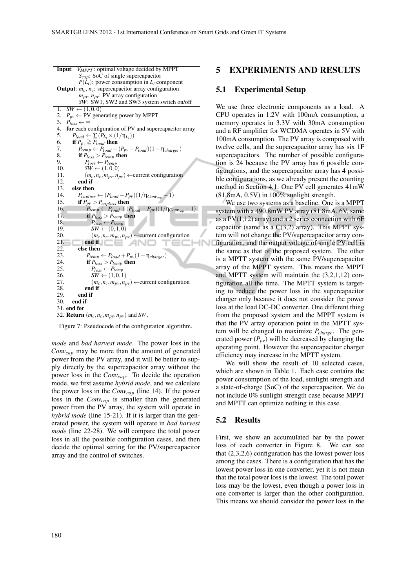```
Input: VMPPT : optimal voltage decided by MPPT
                Scap: SoC of single supercapacitor
                P(\hat{L}_i): power consumption in L_i component
 Output: m_c, n_c: supercapacitor array configuration
                mpv, npv: PV array configuration
                SW: SW1, SW2 and SW3 system switch on/off
 1. SW \leftarrow (1,0,0)
 2. P_{pv} \leftarrow PV generating power by MPPT<br>3. P_{loss} \leftarrow \infty3. P_{loss} \leftarrow \infty<br>4. for each c
 4. for each configuration of PV and supercapacitor array<br>5. P_{load} \leftarrow \sum (P_L \times (1/\eta_L))5. P_{load} \leftarrow \sum_{i} (P_{L_i} \times (1/\eta_{L_i}))6. if P_{pv} \ge P_{load} then<br>7. P_{temp} \leftarrow P_{load} +7. \dot{P}_{temp} \leftarrow P_{load} + (P_{pv} - P_{load})(1 - \eta_{charge})<br>8. if P_{lose} > P_{temp} then
 8. if P_{loss} > P_{temp} then<br>9. P_{loss} \leftarrow P_{temp}9. P_{loss} \leftarrow P_{temp}<br>10. SW \leftarrow (1,0,0)10. SW \leftarrow (1,0,0)<br>11 (m_2, n_2, m_3, n_4)11. (m_c, n_c, m_{pv}, n_{pv}) \leftarrowcurrent configuration<br>12. end if
               end if
 13. else then
 14. P_{caploss} \leftarrow (P_{load} - P_{pv})(1/\eta_{Conv_{cap}} - 1)<br>15. if P_{pv} > P_{conloss} then
 15. if \dot{P}_{pv} > P_{caploss} then<br>16. P_{temp} \leftarrow P_{load} + (16. P_{temp} \leftarrow P_{load} + (P_{load} - P_{pv})(1/\eta_{Conv_{cap}})<br>17. if P_{loss} > P_{temp} then
                     if P_{loss} > P_{temp} then
 18. P_{loss} \leftarrow P_{temp}<br>19. SW \leftarrow (0, 1, 0)19. SW ← (0,1,0)<br>20. (m<sub>c</sub>, n<sub>c</sub>, m<sub>nv</sub>, n)
 20. (m_c, n_c, m_{pv}, n_{pv}) \leftarrowcurrent configuration<br>21. end if
 21. end if \begin{bmatrix} 22. \end{bmatrix} end if
 22. else then<br>23. P_{temp}23. P_{temp} \leftarrow P_{load} + P_{pv} (1 - \eta_{charge})<br>24. if P_{lose} > P_{temp} then
 24. if P_{loss} > P_{temp} then<br>25 P_{t} = P_{temp}25. P_{loss} \leftarrow P_{temp}26. SW \leftarrow (1,0,1)
 27. (m_c, n_c, m_{pv}, n_{pv}) \leftarrowcurrent configuration<br>28. end if
 28. end if
 29. end if
           end if
 31. end for
 32. Return (m_c, n_c, m_{pv}, n_{pv}) and SW.
```
Figure 7: Pseudocode of the configuration algorithm.

*mode* and *bad harvest mode*. The power loss in the *Convcap* may be more than the amount of generated power from the PV array, and it will be better to supply directly by the supercapacitor array without the power loss in the *Convcap*. To decide the operation mode, we first assume *hybrid mode*, and we calculate the power loss in the *Convcap* (line 14). If the power loss in the *Convcap* is smaller than the generated power from the PV array, the system will operate in *hybrid mode* (line 15-21). If it is larger than the generated power, the system will operate in *bad harvest mode* (line 22-28). We will compare the total power loss in all the possible configuration cases, and then decide the optimal setting for the PV/supercapacitor array and the control of switches.

### 5 EXPERIMENTS AND RESULTS

### 5.1 Experimental Setup

We use three electronic components as a load. A CPU operates in 1.2V with 100mA consumption, a memory operates in 3.3V with 30mA consumption and a RF amplifier for WCDMA operates in 5V with 100mA consumption. The PV array is composed with twelve cells, and the supercapacitor array has six 1F supercapacitors. The number of possible configuration is 24 because the PV array has 6 possible configurations, and the supercapacitor array has 4 possible configurations, as we already present the counting method in Section 4.1. One PV cell generates 41mW (81.8mA, 0.5V) in 100% sunlight strength.

We use two systems as a baseline. One is a MPPT system with a 490.8mW PV array (81.8mA, 6V, same as a  $PV(1,12)$  array) and a 2 series connection with 6F capacitor (same as a  $C(3,2)$  array). This MPPT system will not change the PV/supercapacitor array configuration, and the output voltage of single PV cell is the same as that of the proposed system. The other is a MPTT system with the same PV/supercapacitor array of the MPPT system. This means the MPPT and MPTT system will maintain the (3,2,1,12) configuration all the time. The MPTT system is targeting to reduce the power loss in the supercapacitor charger only because it does not consider the power loss at the load DC-DC converter. One different thing from the proposed system and the MPPT system is that the PV array operation point in the MPTT system will be changed to maximize *Pcharge*. The generated power  $(P_{pv})$  will be decreased by changing the operating point. However the supercapacitor charger efficiency may increase in the MPTT system.

We will show the result of 10 selected cases, which are shown in Table 1. Each case contains the power consumption of the load, sunlight strength and a state-of-charge (SoC) of the supercapacitor. We do not include 0% sunlight strength case because MPPT and MPTT can optimize nothing in this case.

### 5.2 Results

J

First, we show an accumulated bar by the power loss of each converter in Figure 8. We can see that (2,3,2,6) configuration has the lowest power loss among the cases. There is a configuration that has the lowest power loss in one converter, yet it is not mean that the total power loss is the lowest. The total power loss may be the lowest, even though a power loss in one converter is larger than the other configuration. This means we should consider the power loss in the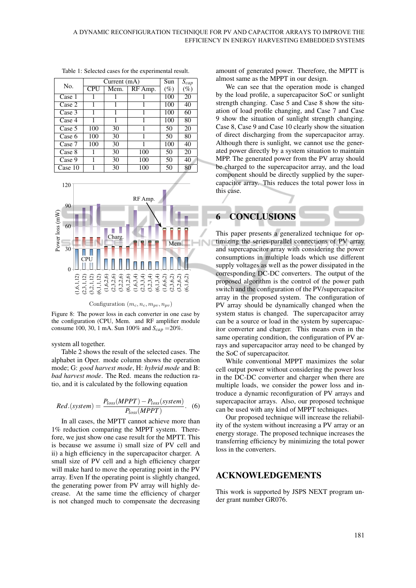| No.     |     | Current $(mA)$ | Sun     | $S_{cap}$ |        |
|---------|-----|----------------|---------|-----------|--------|
|         | CPU | Mem.           | RF Amp. | $(\%)$    | $(\%)$ |
| Case 1  |     |                |         | 100       | 20     |
| Case 2  |     | 1              |         | 100       | 40     |
| Case 3  | 1   | 1              |         | 100       | 60     |
| Case 4  | 1   | 1              |         | 100       | 80     |
| Case 5  | 100 | 30             |         | 50        | 20     |
| Case 6  | 100 | 30             | 1       | 50        | 80     |
| Case 7  | 100 | 30             | 1       | 100       | 40     |
| Case 8  | 1   | 30             | 100     | 50        | 20     |
| Case 9  |     | 30             | 100     | 50        | 40     |
| Case 10 |     | 30             | 100     | 50        | 80     |

Table 1: Selected cases for the experimental result.



Configuration  $(m_c, n_c, m_{pv}, n_{pv})$ 

Figure 8: The power loss in each converter in one case by the configuration (CPU, Mem. and RF amplifier module consume 100, 30, 1 mA. Sun 100% and *Scap* =20%.

system all together.

Table 2 shows the result of the selected cases. The alphabet in Oper. mode column shows the operation mode; G: *good harvest mode*, H: *hybrid mode* and B: *bad harvest mode*. The Red. means the reduction ratio, and it is calculated by the following equation

$$
Red.(system) = \frac{P_{loss}(MPPT) - P_{loss}(system)}{P_{loss}(MPPT)}.
$$
 (6)

In all cases, the MPTT cannot achieve more than 1% reduction comparing the MPPT system. Therefore, we just show one case result for the MPTT. This is because we assume i) small size of PV cell and ii) a high efficiency in the supercapacitor charger. A small size of PV cell and a high efficiency charger will make hard to move the operating point in the PV array. Even If the operating point is slightly changed, the generating power from PV array will highly decrease. At the same time the efficiency of charger is not changed much to compensate the decreasing amount of generated power. Therefore, the MPTT is almost same as the MPPT in our design.

We can see that the operation mode is changed by the load profile, a supercapacitor SoC or sunlight strength changing. Case 5 and Case 8 show the situation of load profile changing, and Case 7 and Case 9 show the situation of sunlight strength changing. Case 8, Case 9 and Case 10 clearly show the situation of direct discharging from the supercapacitor array. Although there is sunlight, we cannot use the generated power directly by a system situation to maintain MPP. The generated power from the PV array should be charged to the supercapacitor array, and the load component should be directly supplied by the supercapacitor array. This reduces the total power loss in this case.



This paper presents a generalized technique for optimizing the series-parallel connections of PV array and supercapacitor array with considering the power consumptions in multiple loads which use different supply voltages as well as the power dissipated in the corresponding DC-DC converters. The output of the proposed algorithm is the control of the power path switch and the configuration of the PV/supercapacitor array in the proposed system. The configuration of PV array should be dynamically changed when the system status is changed. The supercapacitor array can be a source or load in the system by supercapacitor converter and charger. This means even in the same operating condition, the configuration of PV arrays and supercapacitor array need to be changed by the SoC of supercapacitor.

While conventional MPPT maximizes the solar cell output power without considering the power loss in the DC-DC converter and charger when there are multiple loads, we consider the power loss and introduce a dynamic reconfiguration of PV arrays and supercapacitor arrays. Also, our proposed technique can be used with any kind of MPPT techniques.

Our proposed technique will increase the reliability of the system without increasing a PV array or an energy storage. The proposed technique increases the transferring efficiency by minimizing the total power loss in the converters.

## ACKNOWLEDGEMENTS

This work is supported by JSPS NEXT program under grant number GR076.